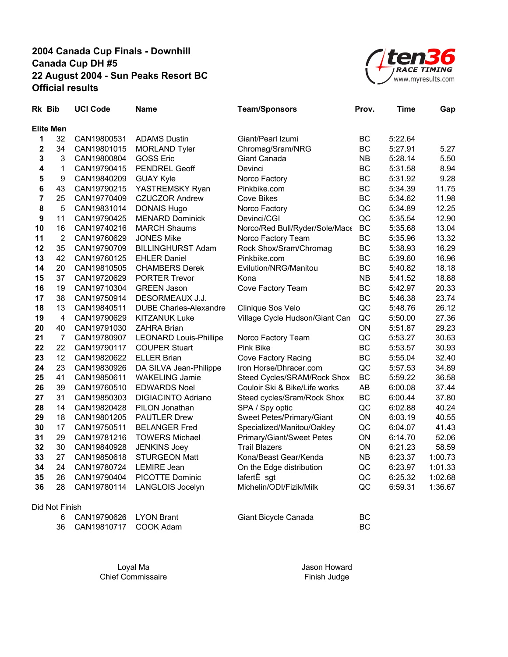

|                         | Rk Bib           | <b>UCI Code</b> | <b>Name</b>                   | <b>Team/Sponsors</b>           | Prov.     | <b>Time</b> | Gap     |
|-------------------------|------------------|-----------------|-------------------------------|--------------------------------|-----------|-------------|---------|
|                         | <b>Elite Men</b> |                 |                               |                                |           |             |         |
| 1                       | 32               | CAN19800531     | <b>ADAMS Dustin</b>           | Giant/Pearl Izumi              | <b>BC</b> | 5:22.64     |         |
| $\overline{\mathbf{c}}$ | 34               | CAN19801015     | <b>MORLAND Tyler</b>          | Chromag/Sram/NRG               | BC        | 5:27.91     | 5.27    |
| 3                       | $\mathbf 3$      | CAN19800804     | <b>GOSS Eric</b>              | Giant Canada                   | <b>NB</b> | 5:28.14     | 5.50    |
| 4                       | 1                | CAN19790415     | PENDREL Geoff                 | Devinci                        | BC        | 5:31.58     | 8.94    |
| 5                       | 9                | CAN19840209     | <b>GUAY Kyle</b>              | Norco Factory                  | BC        | 5:31.92     | 9.28    |
| 6                       | 43               | CAN19790215     | YASTREMSKY Ryan               | Pinkbike.com                   | BC        | 5:34.39     | 11.75   |
| 7                       | 25               | CAN19770409     | <b>CZUCZOR Andrew</b>         | Cove Bikes                     | BC        | 5:34.62     | 11.98   |
| 8                       | 5                | CAN19831014     | <b>DONAIS Hugo</b>            | Norco Factory                  | QC        | 5:34.89     | 12.25   |
| 9                       | 11               | CAN19790425     | <b>MENARD Dominick</b>        | Devinci/CGI                    | QC        | 5:35.54     | 12.90   |
| 10                      | 16               | CAN19740216     | <b>MARCH Shaums</b>           | Norco/Red Bull/Ryder/Sole/Mace | <b>BC</b> | 5:35.68     | 13.04   |
| 11                      | $\overline{2}$   | CAN19760629     | <b>JONES Mike</b>             | Norco Factory Team             | <b>BC</b> | 5:35.96     | 13.32   |
| 12                      | 35               | CAN19790709     | <b>BILLINGHURST Adam</b>      | Rock Shox/Sram/Chromag         | <b>BC</b> | 5:38.93     | 16.29   |
| 13                      | 42               | CAN19760125     | <b>EHLER Daniel</b>           | Pinkbike.com                   | BC        | 5:39.60     | 16.96   |
| 14                      | 20               | CAN19810505     | <b>CHAMBERS Derek</b>         | Evilution/NRG/Manitou          | BC        | 5:40.82     | 18.18   |
| 15                      | 37               | CAN19720629     | <b>PORTER Trevor</b>          | Kona                           | <b>NB</b> | 5:41.52     | 18.88   |
| 16                      | 19               | CAN19710304     | <b>GREEN Jason</b>            | Cove Factory Team              | <b>BC</b> | 5:42.97     | 20.33   |
| 17                      | 38               | CAN19750914     | DESORMEAUX J.J.               |                                | <b>BC</b> | 5:46.38     | 23.74   |
| 18                      | 13               | CAN19840511     | <b>DUBE Charles-Alexandre</b> | Clinique Sos Velo              | QC        | 5:48.76     | 26.12   |
| 19                      | $\overline{4}$   | CAN19790629     | <b>KITZANUK Luke</b>          | Village Cycle Hudson/Giant Can | QC        | 5:50.00     | 27.36   |
| 20                      | 40               | CAN19791030     | <b>ZAHRA Brian</b>            |                                | ON        | 5:51.87     | 29.23   |
| 21                      | $\overline{7}$   | CAN19780907     | <b>LEONARD Louis-Phillipe</b> | Norco Factory Team             | QC        | 5:53.27     | 30.63   |
| 22                      | 22               | CAN19790117     | <b>COUPER Stuart</b>          | <b>Pink Bike</b>               | <b>BC</b> | 5:53.57     | 30.93   |
| 23                      | 12               | CAN19820622     | <b>ELLER Brian</b>            | Cove Factory Racing            | <b>BC</b> | 5:55.04     | 32.40   |
| 24                      | 23               | CAN19830926     | DA SILVA Jean-Philippe        | Iron Horse/Dhracer.com         | QC        | 5:57.53     | 34.89   |
| 25                      | 41               | CAN19850611     | <b>WAKELING Jamie</b>         | Steed Cycles/SRAM/Rock Shox    | <b>BC</b> | 5:59.22     | 36.58   |
| 26                      | 39               | CAN19760510     | <b>EDWARDS Noel</b>           | Couloir Ski & Bike/Life works  | AB        | 6:00.08     | 37.44   |
| 27                      | 31               | CAN19850303     | <b>DIGIACINTO Adriano</b>     | Steed cycles/Sram/Rock Shox    | <b>BC</b> | 6:00.44     | 37.80   |
| 28                      | 14               | CAN19820428     | PILON Jonathan                | SPA / Spy optic                | QC        | 6:02.88     | 40.24   |
| 29                      | 18               | CAN19801205     | <b>PAUTLER Drew</b>           | Sweet Petes/Primary/Giant      | ON        | 6:03.19     | 40.55   |
| 30                      | 17               | CAN19750511     | <b>BELANGER Fred</b>          | Specialized/Manitou/Oakley     | QC        | 6:04.07     | 41.43   |
| 31                      | 29               | CAN19781216     | <b>TOWERS Michael</b>         | Primary/Giant/Sweet Petes      | ON        | 6:14.70     | 52.06   |
| 32                      | 30               | CAN19840928     | <b>JENKINS Joey</b>           | <b>Trail Blazers</b>           | ON        | 6:21.23     | 58.59   |
| 33                      | 27               | CAN19850618     | <b>STURGEON Matt</b>          | Kona/Beast Gear/Kenda          | <b>NB</b> | 6:23.37     | 1:00.73 |
| 34                      | 24               | CAN19780724     | <b>LEMIRE</b> Jean            | On the Edge distribution       | QC        | 6:23.97     | 1:01.33 |
| 35                      | 26               | CAN19790404     | PICOTTE Dominic               | lafertÈ sgt                    | QC        | 6:25.32     | 1:02.68 |
| 36                      | 28               | CAN19780114     | LANGLOIS Jocelyn              | Michelin/ODI/Fizik/Milk        | QC        | 6:59.31     | 1:36.67 |
|                         | Did Not Finish   |                 |                               |                                |           |             |         |

| ווכוווו ווע |                          |                      |    |
|-------------|--------------------------|----------------------|----|
|             | 6 CAN19790626 LYON Brant | Giant Bicycle Canada | BC |
|             | 36 CAN19810717 COOK Adam |                      | BC |

Loyal Ma **Jason Howard** Chief Commissaire **Finish Judge**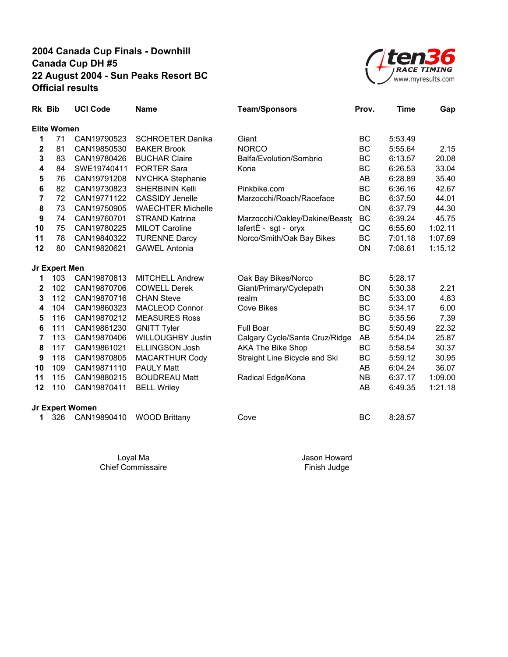

| Rk Bib           |                    | <b>UCI Code</b> | <b>Name</b>              | <b>Team/Sponsors</b>           | Prov.     | <b>Time</b> | Gap     |
|------------------|--------------------|-----------------|--------------------------|--------------------------------|-----------|-------------|---------|
|                  | <b>Elite Women</b> |                 |                          |                                |           |             |         |
| 1                | 71                 | CAN19790523     | <b>SCHROETER Danika</b>  | Giant                          | BC        | 5:53.49     |         |
| $\mathbf 2$      | 81                 | CAN19850530     | <b>BAKER Brook</b>       | <b>NORCO</b>                   | BC        | 5:55.64     | 2.15    |
| 3                | 83                 | CAN19780426     | <b>BUCHAR Claire</b>     | Balfa/Evolution/Sombrio        | ВC        | 6:13.57     | 20.08   |
| 4                | 84                 | SWE19740411     | <b>PORTER Sara</b>       | Kona                           | BC        | 6:26.53     | 33.04   |
| 5                | 76                 | CAN19791208     | NYCHKA Stephanie         |                                | AB        | 6:28.89     | 35.40   |
| 6                | 82                 | CAN19730823     | <b>SHERBININ Kelli</b>   | Pinkbike.com                   | BC        | 6:36.16     | 42.67   |
| 7                | 72                 | CAN19771122     | <b>CASSIDY Jenelle</b>   | Marzocchi/Roach/Raceface       | ВC        | 6:37.50     | 44.01   |
| 8                | 73                 | CAN19750905     | <b>WAECHTER Michelle</b> |                                | ON        | 6:37.79     | 44.30   |
| $\boldsymbol{9}$ | 74                 | CAN19760701     | <b>STRAND Katrina</b>    | Marzocchi/Oakley/Dakine/Beasto | BC        | 6:39.24     | 45.75   |
| 10               | 75                 | CAN19780225     | <b>MILOT Caroline</b>    | lafert $\dot{E}$ - sgt - oryx  | QC        | 6:55.60     | 1:02.11 |
| 11               | 78                 | CAN19840322     | <b>TURENNE Darcy</b>     | Norco/Smith/Oak Bay Bikes      | <b>BC</b> | 7:01.18     | 1:07.69 |
| 12               | 80                 | CAN19820621     | <b>GAWEL Antonia</b>     |                                | ON        | 7:08.61     | 1:15.12 |
|                  | Jr Expert Men      |                 |                          |                                |           |             |         |
| 1                | 103                | CAN19870813     | <b>MITCHELL Andrew</b>   | Oak Bay Bikes/Norco            | BC        | 5:28.17     |         |
| $\mathbf{2}$     | 102                | CAN19870706     | <b>COWELL Derek</b>      | Giant/Primary/Cyclepath        | <b>ON</b> | 5:30.38     | 2.21    |
| 3                | 112                | CAN19870716     | <b>CHAN Steve</b>        | realm                          | BC        | 5:33.00     | 4.83    |
| 4                | 104                | CAN19860323     | <b>MACLEOD Connor</b>    | <b>Cove Bikes</b>              | <b>BC</b> | 5:34.17     | 6.00    |
| 5                | 116                | CAN19870212     | <b>MEASURES Ross</b>     |                                | <b>BC</b> | 5:35.56     | 7.39    |
| 6                | 111                | CAN19861230     | <b>GNITT Tyler</b>       | Full Boar                      | <b>BC</b> | 5:50.49     | 22.32   |
| 7                | 113                | CAN19870406     | <b>WILLOUGHBY Justin</b> | Calgary Cycle/Santa Cruz/Ridge | AB        | 5:54.04     | 25.87   |
| 8                | 117                | CAN19861021     | <b>ELLINGSON Josh</b>    | <b>AKA The Bike Shop</b>       | BC        | 5:58.54     | 30.37   |
| 9                | 118                | CAN19870805     | <b>MACARTHUR Cody</b>    | Straight Line Bicycle and Ski  | BC        | 5:59.12     | 30.95   |
| 10               | 109                | CAN19871110     | <b>PAULY Matt</b>        |                                | AB        | 6:04.24     | 36.07   |
| 11               | 115                | CAN19880215     | <b>BOUDREAU Matt</b>     | Radical Edge/Kona              | <b>NB</b> | 6:37.17     | 1:09.00 |
| 12               | 110                | CAN19870411     | <b>BELL Wriley</b>       |                                | AB        | 6:49.35     | 1:21.18 |
|                  |                    | Jr Expert Women |                          |                                |           |             |         |
| 1                | 326                | CAN19890410     | <b>WOOD Brittany</b>     | Cove                           | BC        | 8:28.57     |         |

Loyal Ma and the state of the state of the Jason Howard Chief Commissaire Finish Judge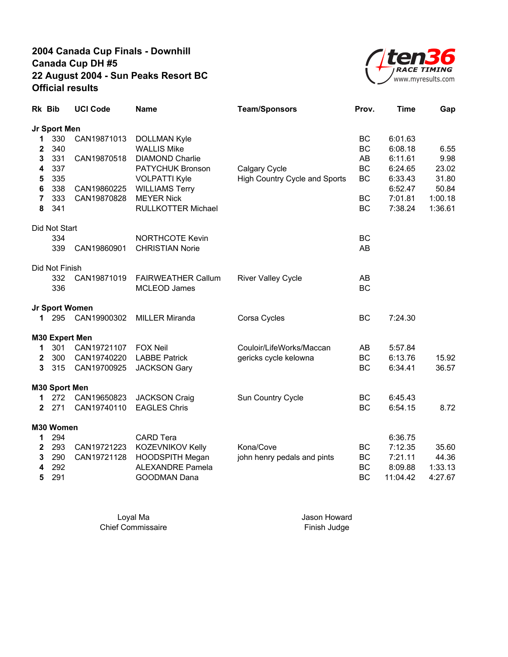

| Jr Sport Men<br>330<br>CAN19871013<br>ВC<br>6:01.63<br><b>DOLLMAN Kyle</b><br>1<br>340<br><b>WALLIS Mike</b><br><b>BC</b><br>2<br>6:08.18<br>331<br>3<br>CAN19870518<br><b>DIAMOND Charlie</b><br>AB<br>6:11.61<br>337<br><b>BC</b><br>4<br>PATYCHUK Bronson<br>Calgary Cycle<br>6:24.65<br>335<br>5<br><b>VOLPATTI Kyle</b><br>High Country Cycle and Sports<br>BC<br>6:33.43<br>6<br>338<br>CAN19860225<br><b>WILLIAMS Terry</b><br>6:52.47<br>1:00.18<br>333<br>CAN19870828<br><b>MEYER Nick</b><br><b>BC</b><br>7:01.81<br>$\overline{7}$<br>8<br>341<br><b>RULLKOTTER Michael</b><br><b>BC</b><br>7:38.24<br>1:36.61<br>Did Not Start<br><b>NORTHCOTE Kevin</b><br>334<br>BC<br>339<br>CAN19860901<br><b>CHRISTIAN Norie</b><br>AB<br>Did Not Finish<br>332<br>CAN19871019<br><b>FAIRWEATHER Callum</b><br><b>River Valley Cycle</b><br>AB<br><b>BC</b><br>336<br><b>MCLEOD James</b><br>Jr Sport Women<br>295<br>CAN19900302<br><b>MILLER Miranda</b><br>Corsa Cycles<br>BC<br>7:24.30<br>1<br>M30 Expert Men<br>301<br>CAN19721107<br><b>FOX Neil</b><br>Couloir/LifeWorks/Maccan<br>AB<br>5:57.84<br>1.<br>300<br>CAN19740220<br>BC<br>$\mathbf 2$<br><b>LABBE Patrick</b><br>gericks cycle kelowna<br>6:13.76<br>315<br>3<br>CAN19700925<br><b>JACKSON Gary</b><br>BC<br>6:34.41 | 6.55<br>9.98<br>23.02<br>31.80<br>50.84 |
|-------------------------------------------------------------------------------------------------------------------------------------------------------------------------------------------------------------------------------------------------------------------------------------------------------------------------------------------------------------------------------------------------------------------------------------------------------------------------------------------------------------------------------------------------------------------------------------------------------------------------------------------------------------------------------------------------------------------------------------------------------------------------------------------------------------------------------------------------------------------------------------------------------------------------------------------------------------------------------------------------------------------------------------------------------------------------------------------------------------------------------------------------------------------------------------------------------------------------------------------------------------------------------------------|-----------------------------------------|
|                                                                                                                                                                                                                                                                                                                                                                                                                                                                                                                                                                                                                                                                                                                                                                                                                                                                                                                                                                                                                                                                                                                                                                                                                                                                                           |                                         |
|                                                                                                                                                                                                                                                                                                                                                                                                                                                                                                                                                                                                                                                                                                                                                                                                                                                                                                                                                                                                                                                                                                                                                                                                                                                                                           |                                         |
|                                                                                                                                                                                                                                                                                                                                                                                                                                                                                                                                                                                                                                                                                                                                                                                                                                                                                                                                                                                                                                                                                                                                                                                                                                                                                           |                                         |
|                                                                                                                                                                                                                                                                                                                                                                                                                                                                                                                                                                                                                                                                                                                                                                                                                                                                                                                                                                                                                                                                                                                                                                                                                                                                                           |                                         |
|                                                                                                                                                                                                                                                                                                                                                                                                                                                                                                                                                                                                                                                                                                                                                                                                                                                                                                                                                                                                                                                                                                                                                                                                                                                                                           |                                         |
|                                                                                                                                                                                                                                                                                                                                                                                                                                                                                                                                                                                                                                                                                                                                                                                                                                                                                                                                                                                                                                                                                                                                                                                                                                                                                           |                                         |
|                                                                                                                                                                                                                                                                                                                                                                                                                                                                                                                                                                                                                                                                                                                                                                                                                                                                                                                                                                                                                                                                                                                                                                                                                                                                                           |                                         |
|                                                                                                                                                                                                                                                                                                                                                                                                                                                                                                                                                                                                                                                                                                                                                                                                                                                                                                                                                                                                                                                                                                                                                                                                                                                                                           |                                         |
|                                                                                                                                                                                                                                                                                                                                                                                                                                                                                                                                                                                                                                                                                                                                                                                                                                                                                                                                                                                                                                                                                                                                                                                                                                                                                           |                                         |
|                                                                                                                                                                                                                                                                                                                                                                                                                                                                                                                                                                                                                                                                                                                                                                                                                                                                                                                                                                                                                                                                                                                                                                                                                                                                                           |                                         |
|                                                                                                                                                                                                                                                                                                                                                                                                                                                                                                                                                                                                                                                                                                                                                                                                                                                                                                                                                                                                                                                                                                                                                                                                                                                                                           |                                         |
|                                                                                                                                                                                                                                                                                                                                                                                                                                                                                                                                                                                                                                                                                                                                                                                                                                                                                                                                                                                                                                                                                                                                                                                                                                                                                           |                                         |
|                                                                                                                                                                                                                                                                                                                                                                                                                                                                                                                                                                                                                                                                                                                                                                                                                                                                                                                                                                                                                                                                                                                                                                                                                                                                                           |                                         |
|                                                                                                                                                                                                                                                                                                                                                                                                                                                                                                                                                                                                                                                                                                                                                                                                                                                                                                                                                                                                                                                                                                                                                                                                                                                                                           |                                         |
|                                                                                                                                                                                                                                                                                                                                                                                                                                                                                                                                                                                                                                                                                                                                                                                                                                                                                                                                                                                                                                                                                                                                                                                                                                                                                           |                                         |
|                                                                                                                                                                                                                                                                                                                                                                                                                                                                                                                                                                                                                                                                                                                                                                                                                                                                                                                                                                                                                                                                                                                                                                                                                                                                                           |                                         |
|                                                                                                                                                                                                                                                                                                                                                                                                                                                                                                                                                                                                                                                                                                                                                                                                                                                                                                                                                                                                                                                                                                                                                                                                                                                                                           |                                         |
|                                                                                                                                                                                                                                                                                                                                                                                                                                                                                                                                                                                                                                                                                                                                                                                                                                                                                                                                                                                                                                                                                                                                                                                                                                                                                           |                                         |
|                                                                                                                                                                                                                                                                                                                                                                                                                                                                                                                                                                                                                                                                                                                                                                                                                                                                                                                                                                                                                                                                                                                                                                                                                                                                                           |                                         |
|                                                                                                                                                                                                                                                                                                                                                                                                                                                                                                                                                                                                                                                                                                                                                                                                                                                                                                                                                                                                                                                                                                                                                                                                                                                                                           | 15.92                                   |
|                                                                                                                                                                                                                                                                                                                                                                                                                                                                                                                                                                                                                                                                                                                                                                                                                                                                                                                                                                                                                                                                                                                                                                                                                                                                                           | 36.57                                   |
| M30 Sport Men                                                                                                                                                                                                                                                                                                                                                                                                                                                                                                                                                                                                                                                                                                                                                                                                                                                                                                                                                                                                                                                                                                                                                                                                                                                                             |                                         |
| 272<br>CAN19650823<br><b>JACKSON Craig</b><br>Sun Country Cycle<br>BC<br>6:45.43<br>1                                                                                                                                                                                                                                                                                                                                                                                                                                                                                                                                                                                                                                                                                                                                                                                                                                                                                                                                                                                                                                                                                                                                                                                                     |                                         |
| 271<br>CAN19740110<br><b>EAGLES Chris</b><br><b>BC</b><br>$\mathbf 2$<br>6:54.15                                                                                                                                                                                                                                                                                                                                                                                                                                                                                                                                                                                                                                                                                                                                                                                                                                                                                                                                                                                                                                                                                                                                                                                                          | 8.72                                    |
| M30 Women                                                                                                                                                                                                                                                                                                                                                                                                                                                                                                                                                                                                                                                                                                                                                                                                                                                                                                                                                                                                                                                                                                                                                                                                                                                                                 |                                         |
| 294<br><b>CARD Tera</b><br>6:36.75<br>1                                                                                                                                                                                                                                                                                                                                                                                                                                                                                                                                                                                                                                                                                                                                                                                                                                                                                                                                                                                                                                                                                                                                                                                                                                                   |                                         |
| KOZEVNIKOV Kelly<br>Kona/Cove<br>7:12.35<br>$\mathbf 2$<br>293<br>CAN19721223<br>BC                                                                                                                                                                                                                                                                                                                                                                                                                                                                                                                                                                                                                                                                                                                                                                                                                                                                                                                                                                                                                                                                                                                                                                                                       | 35.60                                   |
| 3<br>290<br>CAN19721128<br>HOODSPITH Megan<br>john henry pedals and pints<br>BC<br>7:21.11                                                                                                                                                                                                                                                                                                                                                                                                                                                                                                                                                                                                                                                                                                                                                                                                                                                                                                                                                                                                                                                                                                                                                                                                | 44.36                                   |
| 1:33.13<br>292<br><b>ALEXANDRE Pamela</b><br><b>BC</b><br>8:09.88<br>4                                                                                                                                                                                                                                                                                                                                                                                                                                                                                                                                                                                                                                                                                                                                                                                                                                                                                                                                                                                                                                                                                                                                                                                                                    |                                         |
| 5<br>291<br><b>GOODMAN Dana</b><br>BC<br>11:04.42<br>4:27.67                                                                                                                                                                                                                                                                                                                                                                                                                                                                                                                                                                                                                                                                                                                                                                                                                                                                                                                                                                                                                                                                                                                                                                                                                              |                                         |

Loyal Ma Jason Howard Chief Commissaire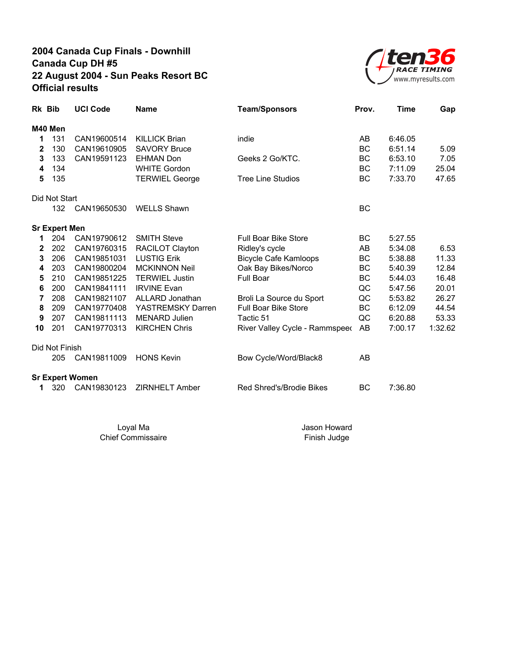

| Rk Bib |                      | <b>UCI Code</b>        | <b>Name</b>           | <b>Team/Sponsors</b>           | Prov.     | <b>Time</b> | Gap     |
|--------|----------------------|------------------------|-----------------------|--------------------------------|-----------|-------------|---------|
|        | M40 Men              |                        |                       |                                |           |             |         |
| 1      | 131                  | CAN19600514            | <b>KILLICK Brian</b>  | indie                          | AB        | 6:46.05     |         |
| 2      | 130                  | CAN19610905            | <b>SAVORY Bruce</b>   |                                | <b>BC</b> | 6:51.14     | 5.09    |
| 3      | 133                  | CAN19591123            | <b>EHMAN Don</b>      | Geeks 2 Go/KTC.                | BC        | 6:53.10     | 7.05    |
| 4      | 134                  |                        | <b>WHITE Gordon</b>   |                                | BC        | 7:11.09     | 25.04   |
| 5      | 135                  |                        | <b>TERWIEL George</b> | <b>Tree Line Studios</b>       | BC        | 7:33.70     | 47.65   |
|        | Did Not Start        |                        |                       |                                |           |             |         |
|        | 132                  | CAN19650530            | <b>WELLS Shawn</b>    |                                | <b>BC</b> |             |         |
|        | <b>Sr Expert Men</b> |                        |                       |                                |           |             |         |
| 1      | 204                  | CAN19790612            | <b>SMITH Steve</b>    | <b>Full Boar Bike Store</b>    | ВC        | 5:27.55     |         |
| 2      | 202                  | CAN19760315            | RACILOT Clayton       | Ridley's cycle                 | AB        | 5:34.08     | 6.53    |
| 3      | 206                  | CAN19851031            | <b>LUSTIG Erik</b>    | <b>Bicycle Cafe Kamloops</b>   | BC        | 5:38.88     | 11.33   |
| 4      | 203                  | CAN19800204            | <b>MCKINNON Neil</b>  | Oak Bay Bikes/Norco            | BC        | 5:40.39     | 12.84   |
| 5      | 210                  | CAN19851225            | <b>TERWIEL Justin</b> | <b>Full Boar</b>               | ВC        | 5:44.03     | 16.48   |
| 6      | 200                  | CAN19841111            | <b>IRVINE Evan</b>    |                                | QC        | 5:47.56     | 20.01   |
| 7      | 208                  | CAN19821107            | ALLARD Jonathan       | Broli La Source du Sport       | QC        | 5:53.82     | 26.27   |
| 8      | 209                  | CAN19770408            | YASTREMSKY Darren     | <b>Full Boar Bike Store</b>    | BC        | 6:12.09     | 44.54   |
| 9      | 207                  | CAN19811113            | <b>MENARD Julien</b>  | Tactic 51                      | QC        | 6:20.88     | 53.33   |
| 10     | 201                  | CAN19770313            | <b>KIRCHEN Chris</b>  | River Valley Cycle - Rammspeed | AB        | 7:00.17     | 1:32.62 |
|        | Did Not Finish       |                        |                       |                                |           |             |         |
|        | 205                  | CAN19811009            | <b>HONS Kevin</b>     | Bow Cycle/Word/Black8          | AB        |             |         |
|        |                      | <b>Sr Expert Women</b> |                       |                                |           |             |         |
| 1      | 320                  | CAN19830123            | ZIRNHELT Amber        | Red Shred's/Brodie Bikes       | ВC        | 7:36.80     |         |

Chief Commissaire

Loyal Ma Jason Howard